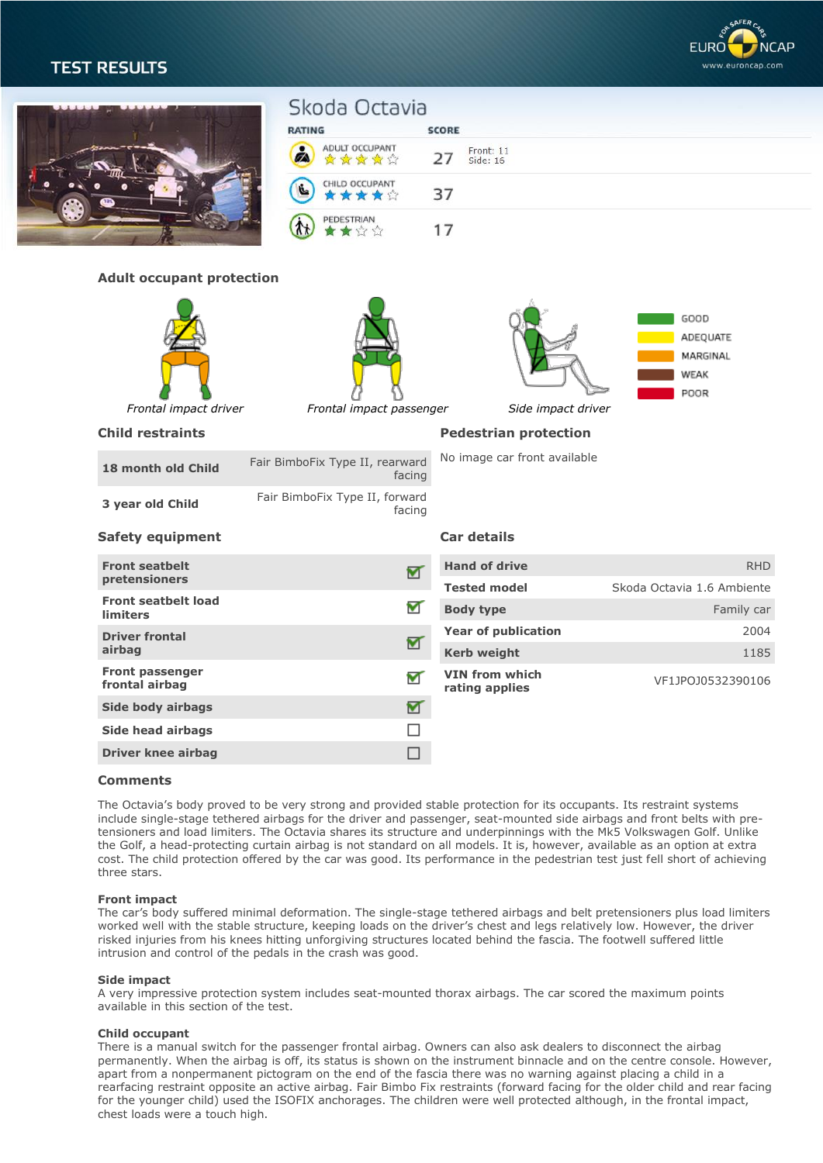

| כ ובסכבת וכבו         |                                  |                                                |                                         |                                              |
|-----------------------|----------------------------------|------------------------------------------------|-----------------------------------------|----------------------------------------------|
|                       |                                  | Skoda Octavia                                  |                                         |                                              |
|                       |                                  | <b>RATING</b>                                  | <b>SCORE</b>                            |                                              |
|                       |                                  | ADULT OCCUPANT<br>Ø<br>白黄黄黄金                   | Front: 11<br>27<br>Side: 16             |                                              |
|                       |                                  | CHILD OCCUPANT<br>ý.<br>★★★☆                   | 37                                      |                                              |
|                       |                                  | PEDESTRIAN<br>$\star$ $\alpha$                 | 17                                      |                                              |
|                       | <b>Adult occupant protection</b> |                                                |                                         |                                              |
|                       |                                  |                                                |                                         |                                              |
|                       |                                  |                                                |                                         | GOOD<br>ADEQUATE<br>MARGINAL<br>WEAK<br>POOR |
| Frontal impact driver |                                  | Frontal impact passenger<br>Side impact driver |                                         |                                              |
|                       |                                  |                                                |                                         |                                              |
|                       | <b>Child restraints</b>          |                                                | <b>Pedestrian protection</b>            |                                              |
|                       | 18 month old Child               | Fair BimboFix Type II, rearward<br>facing      | No image car front available            |                                              |
|                       | 3 year old Child                 | Fair BimboFix Type II, forward<br>facing       |                                         |                                              |
|                       | <b>Safety equipment</b>          |                                                | Car details                             |                                              |
| <b>Front seatbelt</b> |                                  |                                                | <b>Hand of drive</b>                    | <b>RHD</b>                                   |
| pretensioners         |                                  | $\blacktriangledown$                           | <b>Tested model</b>                     | Skoda Octavia 1.6 Ambiente                   |
| <b>limiters</b>       | <b>Front seatbelt load</b>       | ┳                                              | <b>Body type</b>                        | Family car                                   |
| <b>Driver frontal</b> |                                  |                                                | <b>Year of publication</b>              | 2004                                         |
| airbag                |                                  | ┳                                              | <b>Kerb weight</b>                      | 1185                                         |
| frontal airbag        | Front passenger                  | ┳                                              | <b>VIN from which</b><br>rating applies | VF1JPOJ0532390106                            |
|                       | Side body airbags                | ⊻                                              |                                         |                                              |
|                       | <b>Side head airbags</b>         | П                                              |                                         |                                              |

# **Comments**

The Octavia's body proved to be very strong and provided stable protection for its occupants. Its restraint systems include single-stage tethered airbags for the driver and passenger, seat-mounted side airbags and front belts with pretensioners and load limiters. The Octavia shares its structure and underpinnings with the Mk5 Volkswagen Golf. Unlike the Golf, a head-protecting curtain airbag is not standard on all models. It is, however, available as an option at extra cost. The child protection offered by the car was good. Its performance in the pedestrian test just fell short of achieving three stars.

# **Front impact**

The car's body suffered minimal deformation. The single-stage tethered airbags and belt pretensioners plus load limiters worked well with the stable structure, keeping loads on the driver's chest and legs relatively low. However, the driver risked injuries from his knees hitting unforgiving structures located behind the fascia. The footwell suffered little intrusion and control of the pedals in the crash was good.

### **Side impact**

A very impressive protection system includes seat-mounted thorax airbags. The car scored the maximum points available in this section of the test.

### **Child occupant**

There is a manual switch for the passenger frontal airbag. Owners can also ask dealers to disconnect the airbag permanently. When the airbag is off, its status is shown on the instrument binnacle and on the centre console. However, apart from a nonpermanent pictogram on the end of the fascia there was no warning against placing a child in a rearfacing restraint opposite an active airbag. Fair Bimbo Fix restraints (forward facing for the older child and rear facing for the younger child) used the ISOFIX anchorages. The children were well protected although, in the frontal impact, chest loads were a touch high.